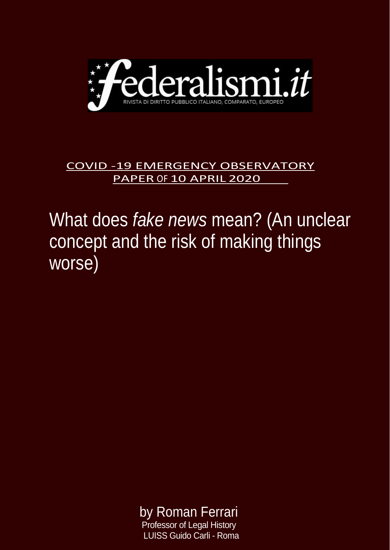

## COVID -19 EMERGENCY OBSERVATORY PAPER OF 10 APRIL 2020

## What does *fake news* mean? (An unclear concept and the risk of making things worse)

 by Roman Ferrari Professor of Legal History

LUISS Guido Carli - Roma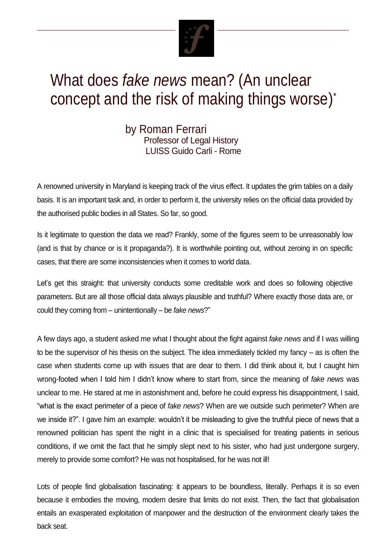

## What does *fake news* mean? (An unclear concept and the risk of making things worse) \*

by Roman Ferrari Professor of Legal History LUISS Guido Carli - Rome

A renowned university in Maryland is keeping track of the virus effect. It updates the grim tables on a daily basis. It is an important task and, in order to perform it, the university relies on the official data provided by the authorised public bodies in all States. So far, so good.

Is it legitimate to question the data we read? Frankly, some of the figures seem to be unreasonably low (and is that by chance or is it propaganda?). It is worthwhile pointing out, without zeroing in on specific cases, that there are some inconsistencies when it comes to world data.

Let's get this straight: that university conducts some creditable work and does so following objective parameters. But are all those official data always plausible and truthful? Where exactly those data are, or could they coming from – unintentionally – be *fake news*?"

A few days ago, a student asked me what I thought about the fight against *fake news* and if I was willing to be the supervisor of his thesis on the subject. The idea immediately tickled my fancy – as is often the case when students come up with issues that are dear to them. I did think about it, but I caught him wrong-footed when I told him I didn't know where to start from, since the meaning of *fake news* was unclear to me. He stared at me in astonishment and, before he could express his disappointment, I said, "what is the exact perimeter of a piece of *fake news*? When are we outside such perimeter? When are we inside it?". I gave him an example: wouldn't it be misleading to give the truthful piece of news that a renowned politician has spent the night in a clinic that is specialised for treating patients in serious conditions, if we omit the fact that he simply slept next to his sister, who had just undergone surgery, merely to provide some comfort? He was not hospitalised, for he was not ill!

Lots of people find globalisation fascinating: it appears to be boundless, literally. Perhaps it is so even because it embodies the moving, modern desire that limits do not exist. Then, the fact that globalisation entails an exasperated exploitation of manpower and the destruction of the environment clearly takes the back seat.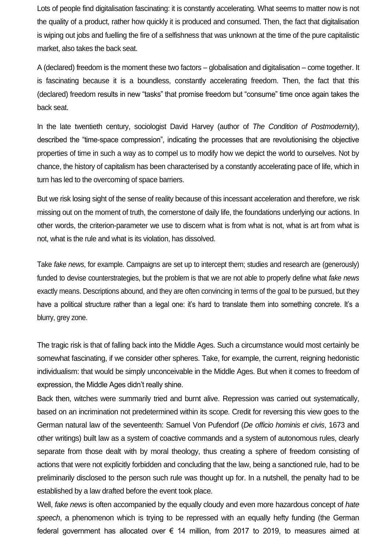Lots of people find digitalisation fascinating: it is constantly accelerating. What seems to matter now is not the quality of a product, rather how quickly it is produced and consumed. Then, the fact that digitalisation is wiping out jobs and fuelling the fire of a selfishness that was unknown at the time of the pure capitalistic market, also takes the back seat.

A (declared) freedom is the moment these two factors – globalisation and digitalisation – come together. It is fascinating because it is a boundless, constantly accelerating freedom. Then, the fact that this (declared) freedom results in new "tasks" that promise freedom but "consume" time once again takes the back seat.

In the late twentieth century, sociologist David Harvey (author of *The Condition of Postmodernity*), described the "time-space compression", indicating the processes that are revolutionising the objective properties of time in such a way as to compel us to modify how we depict the world to ourselves. Not by chance, the history of capitalism has been characterised by a constantly accelerating pace of life, which in turn has led to the overcoming of space barriers.

But we risk losing sight of the sense of reality because of this incessant acceleration and therefore, we risk missing out on the moment of truth, the cornerstone of daily life, the foundations underlying our actions. In other words, the criterion-parameter we use to discern what is from what is not, what is art from what is not, what is the rule and what is its violation, has dissolved.

Take *fake news*, for example. Campaigns are set up to intercept them; studies and research are (generously) funded to devise counterstrategies, but the problem is that we are not able to properly define what *fake news* exactly means. Descriptions abound, and they are often convincing in terms of the goal to be pursued, but they have a political structure rather than a legal one: it's hard to translate them into something concrete. It's a blurry, grey zone.

The tragic risk is that of falling back into the Middle Ages. Such a circumstance would most certainly be somewhat fascinating, if we consider other spheres. Take, for example, the current, reigning hedonistic individualism: that would be simply unconceivable in the Middle Ages. But when it comes to freedom of expression, the Middle Ages didn't really shine.

Back then, witches were summarily tried and burnt alive. Repression was carried out systematically, based on an incrimination not predetermined within its scope. Credit for reversing this view goes to the German natural law of the seventeenth: Samuel Von Pufendorf (*De officio hominis et civis*, 1673 and other writings) built law as a system of coactive commands and a system of autonomous rules, clearly separate from those dealt with by moral theology, thus creating a sphere of freedom consisting of actions that were not explicitly forbidden and concluding that the law, being a sanctioned rule, had to be preliminarily disclosed to the person such rule was thought up for. In a nutshell, the penalty had to be established by a law drafted before the event took place.

Well, *fake news* is often accompanied by the equally cloudy and even more hazardous concept of *hate speech*, a phenomenon which is trying to be repressed with an equally hefty funding (the German federal government has allocated over  $\epsilon$  14 million, from 2017 to 2019, to measures aimed at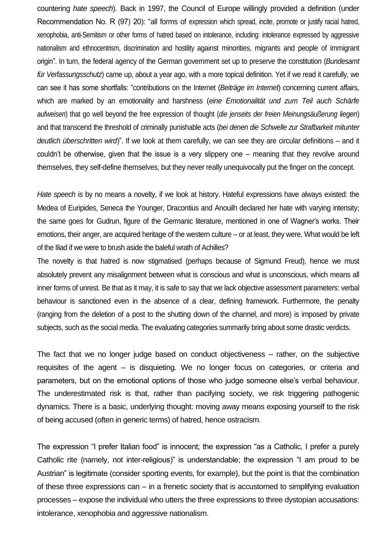countering *hate speech*). Back in 1997, the Council of Europe willingly provided a definition (under Recommendation No. R (97) 20): "all forms of expression which spread, incite, promote or justify racial hatred, xenophobia, anti-Semitism or other forms of hatred based on intolerance, including: intolerance expressed by aggressive nationalism and ethnocentrism, discrimination and hostility against minorities, migrants and people of immigrant origin". In turn, the federal agency of the German government set up to preserve the constitution (*Bundesamt für Verfassungsschutz*) came up, about a year ago, with a more topical definition. Yet if we read it carefully, we can see it has some shortfalls: "contributions on the Internet (*Beiträge im Internet*) concerning current affairs, which are marked by an emotionality and harshness (*eine Emotionalität und zum Teil auch Schärfe aufweisen*) that go well beyond the free expression of thought (*die jenseits der freien Meinungsäußerung liegen*) and that transcend the threshold of criminally punishable acts (*bei denen die Schwelle zur Strafbarkeit mitunter deutlich überschritten wird*)". If we look at them carefully, we can see they are circular definitions – and it couldn't be otherwise, given that the issue is a very slippery one – meaning that they revolve around themselves, they self-define themselves, but they never really unequivocally put the finger on the concept.

*Hate speech* is by no means a novelty, if we look at history. Hateful expressions have always existed: the Medea of Euripides, Seneca the Younger, Dracontius and Anouilh declared her hate with varying intensity; the same goes for Gudrun, figure of the Germanic literature, mentioned in one of Wagner's works. Their emotions, their anger, are acquired heritage of the western culture – or at least, they were. What would be left of the Iliad if we were to brush aside the baleful wrath of Achilles?

The novelty is that hatred is now stigmatised (perhaps because of Sigmund Freud), hence we must absolutely prevent any misalignment between what is conscious and what is unconscious, which means all inner forms of unrest. Be that as it may, it is safe to say that we lack objective assessment parameters: verbal behaviour is sanctioned even in the absence of a clear, defining framework. Furthermore, the penalty (ranging from the deletion of a post to the shutting down of the channel, and more) is imposed by private subjects, such as the social media. The evaluating categories summarily bring about some drastic verdicts.

The fact that we no longer judge based on conduct objectiveness – rather, on the subjective requisites of the agent – is disquieting. We no longer focus on categories, or criteria and parameters, but on the emotional options of those who judge someone else's verbal behaviour. The underestimated risk is that, rather than pacifying society, we risk triggering pathogenic dynamics. There is a basic, underlying thought: moving away means exposing yourself to the risk of being accused (often in generic terms) of hatred, hence ostracism.

The expression "I prefer Italian food" is innocent; the expression "as a Catholic, I prefer a purely Catholic rite (namely, not inter-religious)" is understandable; the expression "I am proud to be Austrian" is legitimate (consider sporting events, for example), but the point is that the combination of these three expressions can – in a frenetic society that is accustomed to simplifying evaluation processes – expose the individual who utters the three expressions to three dystopian accusations: intolerance, xenophobia and aggressive nationalism.